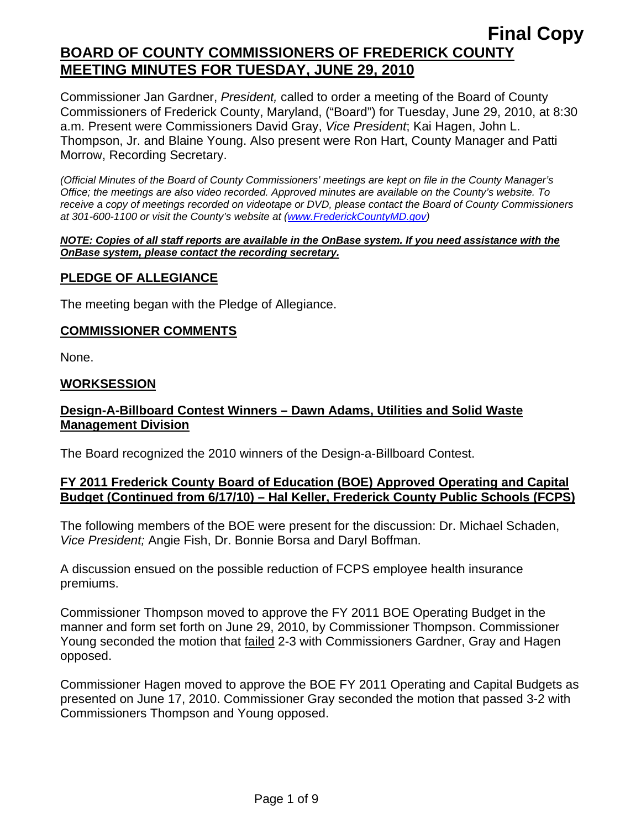Commissioner Jan Gardner, *President,* called to order a meeting of the Board of County Commissioners of Frederick County, Maryland, ("Board") for Tuesday, June 29, 2010, at 8:30 a.m. Present were Commissioners David Gray, *Vice President*; Kai Hagen, John L. Thompson, Jr. and Blaine Young. Also present were Ron Hart, County Manager and Patti Morrow, Recording Secretary.

*(Official Minutes of the Board of County Commissioners' meetings are kept on file in the County Manager's Office; the meetings are also video recorded. Approved minutes are available on the County's website. To receive a copy of meetings recorded on videotape or DVD, please contact the Board of County Commissioners at 301-600-1100 or visit the County's website at ([www.FrederickCountyMD.gov](http://www.frederickcountymd.gov/))* 

#### *NOTE: Copies of all staff reports are available in the OnBase system. If you need assistance with the OnBase system, please contact the recording secretary.*

## **PLEDGE OF ALLEGIANCE**

The meeting began with the Pledge of Allegiance.

#### **COMMISSIONER COMMENTS**

None.

#### **WORKSESSION**

## **Design-A-Billboard Contest Winners – Dawn Adams, Utilities and Solid Waste Management Division**

The Board recognized the 2010 winners of the Design-a-Billboard Contest.

## **FY 2011 Frederick County Board of Education (BOE) Approved Operating and Capital Budget (Continued from 6/17/10) – Hal Keller, Frederick County Public Schools (FCPS)**

The following members of the BOE were present for the discussion: Dr. Michael Schaden, *Vice President;* Angie Fish, Dr. Bonnie Borsa and Daryl Boffman.

A discussion ensued on the possible reduction of FCPS employee health insurance premiums.

Commissioner Thompson moved to approve the FY 2011 BOE Operating Budget in the manner and form set forth on June 29, 2010, by Commissioner Thompson. Commissioner Young seconded the motion that failed 2-3 with Commissioners Gardner, Gray and Hagen opposed.

Commissioner Hagen moved to approve the BOE FY 2011 Operating and Capital Budgets as presented on June 17, 2010. Commissioner Gray seconded the motion that passed 3-2 with Commissioners Thompson and Young opposed.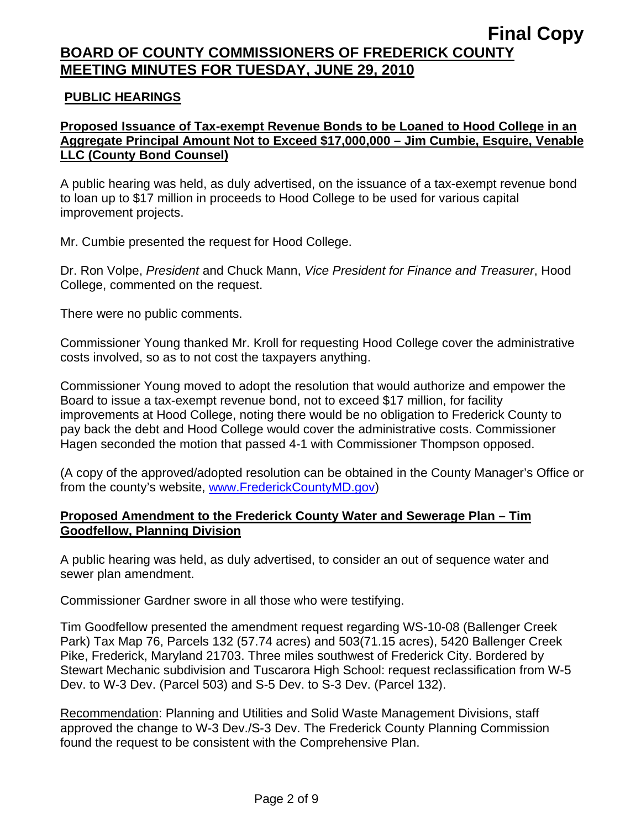## **PUBLIC HEARINGS**

## **Proposed Issuance of Tax-exempt Revenue Bonds to be Loaned to Hood College in an Aggregate Principal Amount Not to Exceed \$17,000,000 – Jim Cumbie, Esquire, Venable LLC (County Bond Counsel)**

A public hearing was held, as duly advertised, on the issuance of a tax-exempt revenue bond to loan up to \$17 million in proceeds to Hood College to be used for various capital improvement projects.

Mr. Cumbie presented the request for Hood College.

Dr. Ron Volpe, *President* and Chuck Mann, *Vice President for Finance and Treasurer*, Hood College, commented on the request.

There were no public comments.

Commissioner Young thanked Mr. Kroll for requesting Hood College cover the administrative costs involved, so as to not cost the taxpayers anything.

Commissioner Young moved to adopt the resolution that would authorize and empower the Board to issue a tax-exempt revenue bond, not to exceed \$17 million, for facility improvements at Hood College, noting there would be no obligation to Frederick County to pay back the debt and Hood College would cover the administrative costs. Commissioner Hagen seconded the motion that passed 4-1 with Commissioner Thompson opposed.

(A copy of the approved/adopted resolution can be obtained in the County Manager's Office or from the county's website, [www.FrederickCountyMD.gov](http://www.frederickcountymd.gov/))

## **Proposed Amendment to the Frederick County Water and Sewerage Plan – Tim Goodfellow, Planning Division**

A public hearing was held, as duly advertised, to consider an out of sequence water and sewer plan amendment.

Commissioner Gardner swore in all those who were testifying.

Tim Goodfellow presented the amendment request regarding WS-10-08 (Ballenger Creek Park) Tax Map 76, Parcels 132 (57.74 acres) and 503(71.15 acres), 5420 Ballenger Creek Pike, Frederick, Maryland 21703. Three miles southwest of Frederick City. Bordered by Stewart Mechanic subdivision and Tuscarora High School: request reclassification from W-5 Dev. to W-3 Dev. (Parcel 503) and S-5 Dev. to S-3 Dev. (Parcel 132).

Recommendation: Planning and Utilities and Solid Waste Management Divisions, staff approved the change to W-3 Dev./S-3 Dev. The Frederick County Planning Commission found the request to be consistent with the Comprehensive Plan.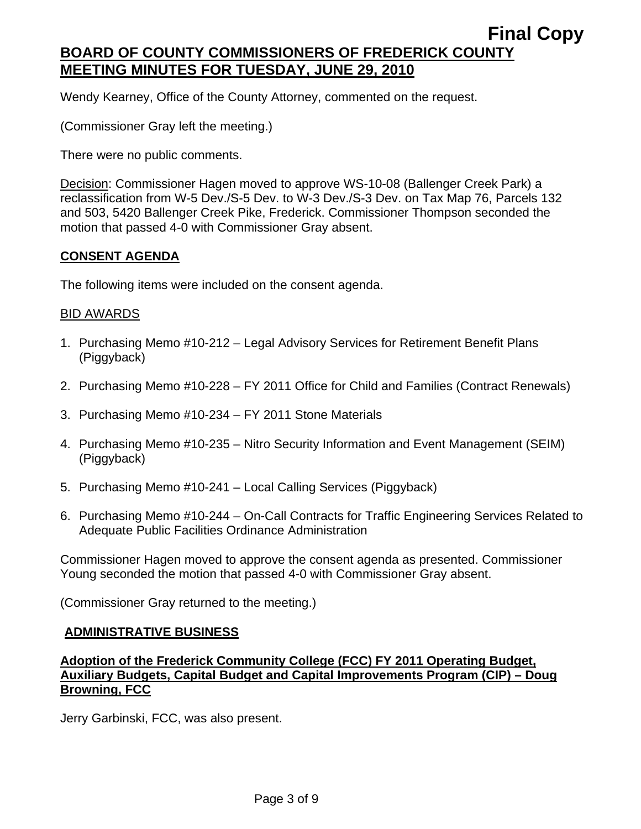Wendy Kearney, Office of the County Attorney, commented on the request.

(Commissioner Gray left the meeting.)

There were no public comments.

Decision: Commissioner Hagen moved to approve WS-10-08 (Ballenger Creek Park) a reclassification from W-5 Dev./S-5 Dev. to W-3 Dev./S-3 Dev. on Tax Map 76, Parcels 132 and 503, 5420 Ballenger Creek Pike, Frederick. Commissioner Thompson seconded the motion that passed 4-0 with Commissioner Gray absent.

#### **CONSENT AGENDA**

The following items were included on the consent agenda.

#### BID AWARDS

- 1. Purchasing Memo #10-212 Legal Advisory Services for Retirement Benefit Plans (Piggyback)
- 2. Purchasing Memo #10-228 FY 2011 Office for Child and Families (Contract Renewals)
- 3. Purchasing Memo #10-234 FY 2011 Stone Materials
- 4. Purchasing Memo #10-235 Nitro Security Information and Event Management (SEIM) (Piggyback)
- 5. Purchasing Memo #10-241 Local Calling Services (Piggyback)
- 6. Purchasing Memo #10-244 On-Call Contracts for Traffic Engineering Services Related to Adequate Public Facilities Ordinance Administration

Commissioner Hagen moved to approve the consent agenda as presented. Commissioner Young seconded the motion that passed 4-0 with Commissioner Gray absent.

(Commissioner Gray returned to the meeting.)

#### **ADMINISTRATIVE BUSINESS**

## **Adoption of the Frederick Community College (FCC) FY 2011 Operating Budget, Auxiliary Budgets, Capital Budget and Capital Improvements Program (CIP) – Doug Browning, FCC**

Jerry Garbinski, FCC, was also present.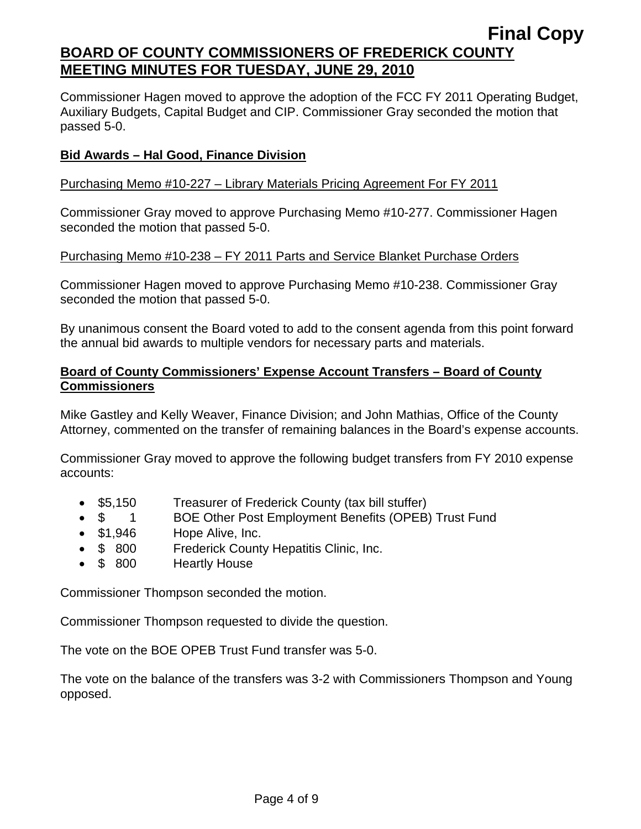Commissioner Hagen moved to approve the adoption of the FCC FY 2011 Operating Budget, Auxiliary Budgets, Capital Budget and CIP. Commissioner Gray seconded the motion that passed 5-0.

# **Bid Awards – Hal Good, Finance Division**

#### Purchasing Memo #10-227 – Library Materials Pricing Agreement For FY 2011

Commissioner Gray moved to approve Purchasing Memo #10-277. Commissioner Hagen seconded the motion that passed 5-0.

#### Purchasing Memo #10-238 – FY 2011 Parts and Service Blanket Purchase Orders

Commissioner Hagen moved to approve Purchasing Memo #10-238. Commissioner Gray seconded the motion that passed 5-0.

By unanimous consent the Board voted to add to the consent agenda from this point forward the annual bid awards to multiple vendors for necessary parts and materials.

## **Board of County Commissioners' Expense Account Transfers – Board of County Commissioners**

Mike Gastley and Kelly Weaver, Finance Division; and John Mathias, Office of the County Attorney, commented on the transfer of remaining balances in the Board's expense accounts.

Commissioner Gray moved to approve the following budget transfers from FY 2010 expense accounts:

- \$5,150 Treasurer of Frederick County (tax bill stuffer)
- \$1 BOE Other Post Employment Benefits (OPEB) Trust Fund
- \$1,946 Hope Alive, Inc.
- \$ 800 Frederick County Hepatitis Clinic, Inc.
- \$ 800 Heartly House

Commissioner Thompson seconded the motion.

Commissioner Thompson requested to divide the question.

The vote on the BOE OPEB Trust Fund transfer was 5-0.

The vote on the balance of the transfers was 3-2 with Commissioners Thompson and Young opposed.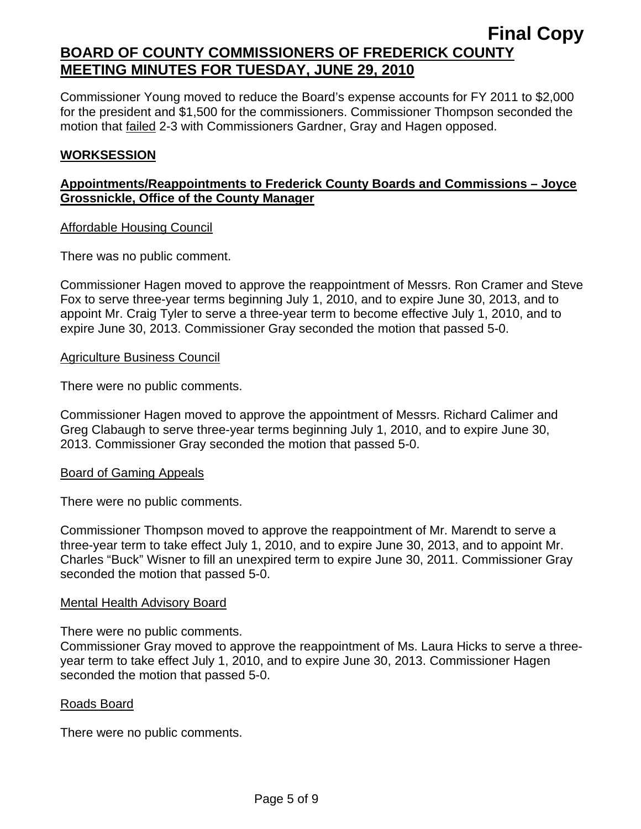Commissioner Young moved to reduce the Board's expense accounts for FY 2011 to \$2,000 for the president and \$1,500 for the commissioners. Commissioner Thompson seconded the motion that failed 2-3 with Commissioners Gardner, Gray and Hagen opposed.

## **WORKSESSION**

## **Appointments/Reappointments to Frederick County Boards and Commissions – Joyce Grossnickle, Office of the County Manager**

#### Affordable Housing Council

There was no public comment.

Commissioner Hagen moved to approve the reappointment of Messrs. Ron Cramer and Steve Fox to serve three-year terms beginning July 1, 2010, and to expire June 30, 2013, and to appoint Mr. Craig Tyler to serve a three-year term to become effective July 1, 2010, and to expire June 30, 2013. Commissioner Gray seconded the motion that passed 5-0.

#### Agriculture Business Council

There were no public comments.

Commissioner Hagen moved to approve the appointment of Messrs. Richard Calimer and Greg Clabaugh to serve three-year terms beginning July 1, 2010, and to expire June 30, 2013. Commissioner Gray seconded the motion that passed 5-0.

#### Board of Gaming Appeals

There were no public comments.

Commissioner Thompson moved to approve the reappointment of Mr. Marendt to serve a three-year term to take effect July 1, 2010, and to expire June 30, 2013, and to appoint Mr. Charles "Buck" Wisner to fill an unexpired term to expire June 30, 2011. Commissioner Gray seconded the motion that passed 5-0.

#### Mental Health Advisory Board

There were no public comments.

Commissioner Gray moved to approve the reappointment of Ms. Laura Hicks to serve a threeyear term to take effect July 1, 2010, and to expire June 30, 2013. Commissioner Hagen seconded the motion that passed 5-0.

#### Roads Board

There were no public comments.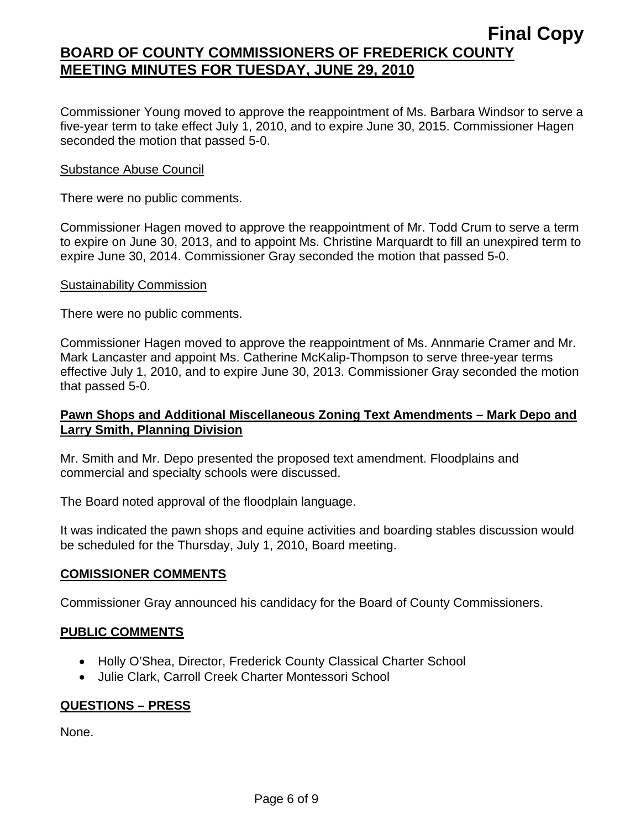Commissioner Young moved to approve the reappointment of Ms. Barbara Windsor to serve a five-year term to take effect July 1, 2010, and to expire June 30, 2015. Commissioner Hagen seconded the motion that passed 5-0.

#### Substance Abuse Council

There were no public comments.

Commissioner Hagen moved to approve the reappointment of Mr. Todd Crum to serve a term to expire on June 30, 2013, and to appoint Ms. Christine Marquardt to fill an unexpired term to expire June 30, 2014. Commissioner Gray seconded the motion that passed 5-0.

#### Sustainability Commission

There were no public comments.

Commissioner Hagen moved to approve the reappointment of Ms. Annmarie Cramer and Mr. Mark Lancaster and appoint Ms. Catherine McKalip-Thompson to serve three-year terms effective July 1, 2010, and to expire June 30, 2013. Commissioner Gray seconded the motion that passed 5-0.

## **Pawn Shops and Additional Miscellaneous Zoning Text Amendments – Mark Depo and Larry Smith, Planning Division**

Mr. Smith and Mr. Depo presented the proposed text amendment. Floodplains and commercial and specialty schools were discussed.

The Board noted approval of the floodplain language.

It was indicated the pawn shops and equine activities and boarding stables discussion would be scheduled for the Thursday, July 1, 2010, Board meeting.

## **COMISSIONER COMMENTS**

Commissioner Gray announced his candidacy for the Board of County Commissioners.

## **PUBLIC COMMENTS**

- Holly O'Shea, Director, Frederick County Classical Charter School
- Julie Clark, Carroll Creek Charter Montessori School

## **QUESTIONS – PRESS**

None.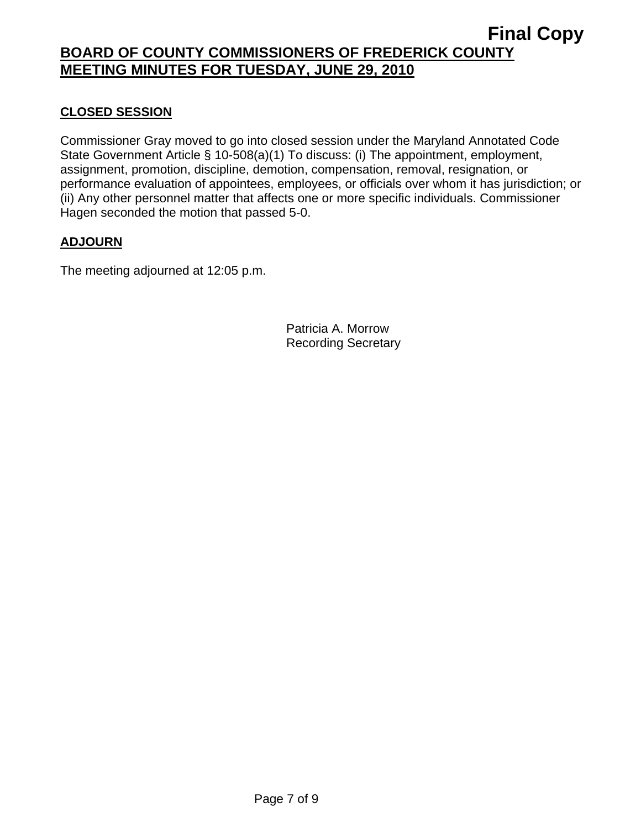# **CLOSED SESSION**

Commissioner Gray moved to go into closed session under the Maryland Annotated Code State Government Article § 10-508(a)(1) To discuss: (i) The appointment, employment, assignment, promotion, discipline, demotion, compensation, removal, resignation, or performance evaluation of appointees, employees, or officials over whom it has jurisdiction; or (ii) Any other personnel matter that affects one or more specific individuals. Commissioner Hagen seconded the motion that passed 5-0.

## **ADJOURN**

The meeting adjourned at 12:05 p.m.

Patricia A. Morrow Recording Secretary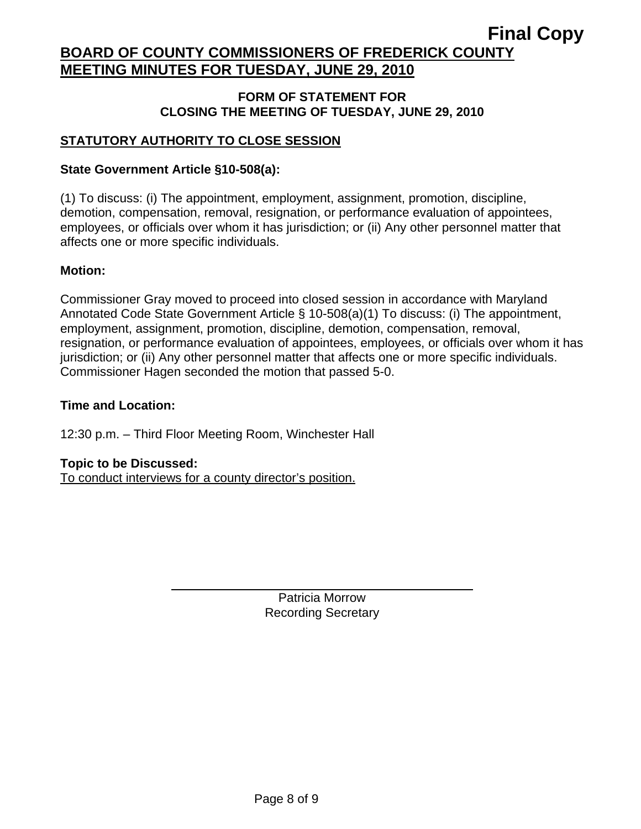## **FORM OF STATEMENT FOR CLOSING THE MEETING OF TUESDAY, JUNE 29, 2010**

# **STATUTORY AUTHORITY TO CLOSE SESSION**

## **State Government Article §10-508(a):**

(1) To discuss: (i) The appointment, employment, assignment, promotion, discipline, demotion, compensation, removal, resignation, or performance evaluation of appointees, employees, or officials over whom it has jurisdiction; or (ii) Any other personnel matter that affects one or more specific individuals.

#### **Motion:**

Commissioner Gray moved to proceed into closed session in accordance with Maryland Annotated Code State Government Article § 10-508(a)(1) To discuss: (i) The appointment, employment, assignment, promotion, discipline, demotion, compensation, removal, resignation, or performance evaluation of appointees, employees, or officials over whom it has jurisdiction; or (ii) Any other personnel matter that affects one or more specific individuals. Commissioner Hagen seconded the motion that passed 5-0.

#### **Time and Location:**

12:30 p.m. – Third Floor Meeting Room, Winchester Hall

#### **Topic to be Discussed:**

To conduct interviews for a county director's position.

 $\overline{a}$ 

Patricia Morrow Recording Secretary